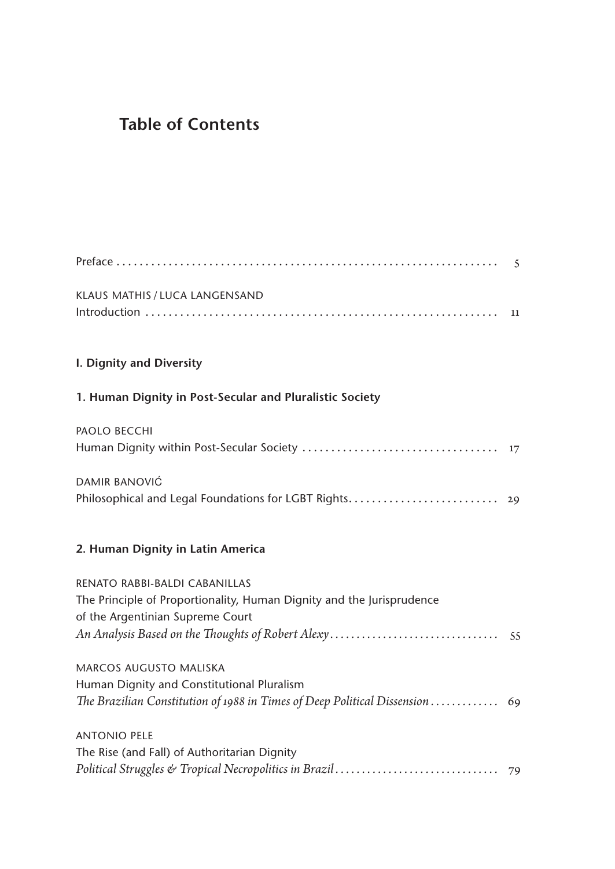## **Table of Contents**

| KLAUS MATHIS / LUCA LANGENSAND                                                        |    |
|---------------------------------------------------------------------------------------|----|
|                                                                                       |    |
| I. Dignity and Diversity                                                              |    |
| 1. Human Dignity in Post-Secular and Pluralistic Society                              |    |
| <b>PAOLO BECCHI</b>                                                                   |    |
|                                                                                       |    |
| <b>DAMIR BANOVIĆ</b><br>Philosophical and Legal Foundations for LGBT Rights 29        |    |
| 2. Human Dignity in Latin America                                                     |    |
| RENATO RABBI-BALDI CABANILLAS                                                         |    |
| The Principle of Proportionality, Human Dignity and the Jurisprudence                 |    |
| of the Argentinian Supreme Court<br>An Analysis Based on the Thoughts of Robert Alexy | 55 |
| MARCOS AUGUSTO MALISKA                                                                |    |
| Human Dignity and Constitutional Pluralism                                            |    |
| The Brazilian Constitution of 1988 in Times of Deep Political Dissension  69          |    |
| <b>ANTONIO PELE</b>                                                                   |    |
| The Rise (and Fall) of Authoritarian Dignity                                          |    |
|                                                                                       |    |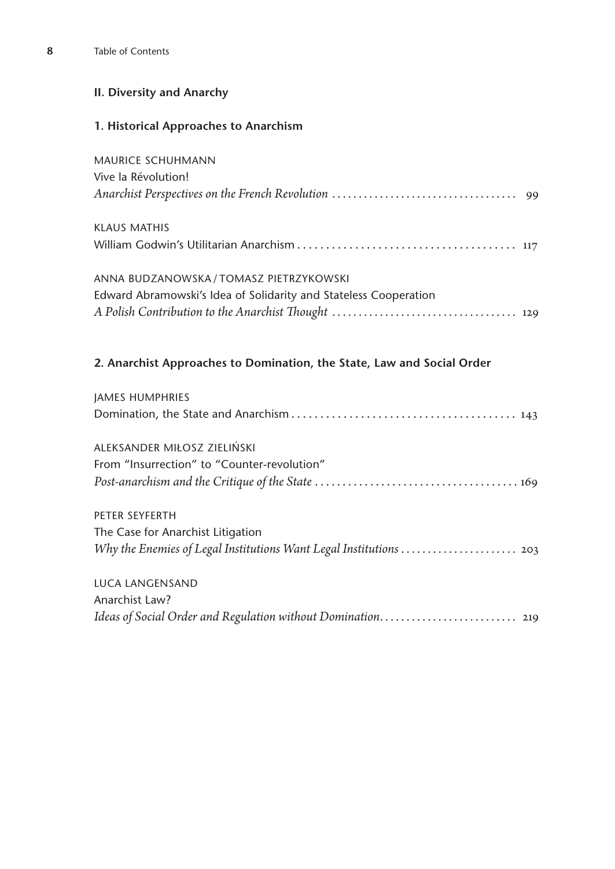## **II. Diversity and Anarchy**

## **1. Historical Approaches to Anarchism**

| <b>MAURICE SCHUHMANN</b>                                               |
|------------------------------------------------------------------------|
| Vive la Révolution!                                                    |
|                                                                        |
| <b>KLAUS MATHIS</b>                                                    |
|                                                                        |
| ANNA BUDZANOWSKA / TOMASZ PIETRZYKOWSKI                                |
| Edward Abramowski's Idea of Solidarity and Stateless Cooperation       |
|                                                                        |
| 2. Anarchist Approaches to Domination, the State, Law and Social Order |
| <b>JAMES HUMPHRIES</b>                                                 |
|                                                                        |
| ALEKSANDER MIŁOSZ ZIELIŃSKI                                            |
| From "Insurrection" to "Counter-revolution"                            |
|                                                                        |
| PETER SEYFERTH                                                         |
| The Case for Anarchist Litigation                                      |
| Why the Enemies of Legal Institutions Want Legal Institutions  203     |
| <b>LUCA LANGENSAND</b>                                                 |
| Anarchist Law?                                                         |
| Ideas of Social Order and Regulation without Domination 219            |